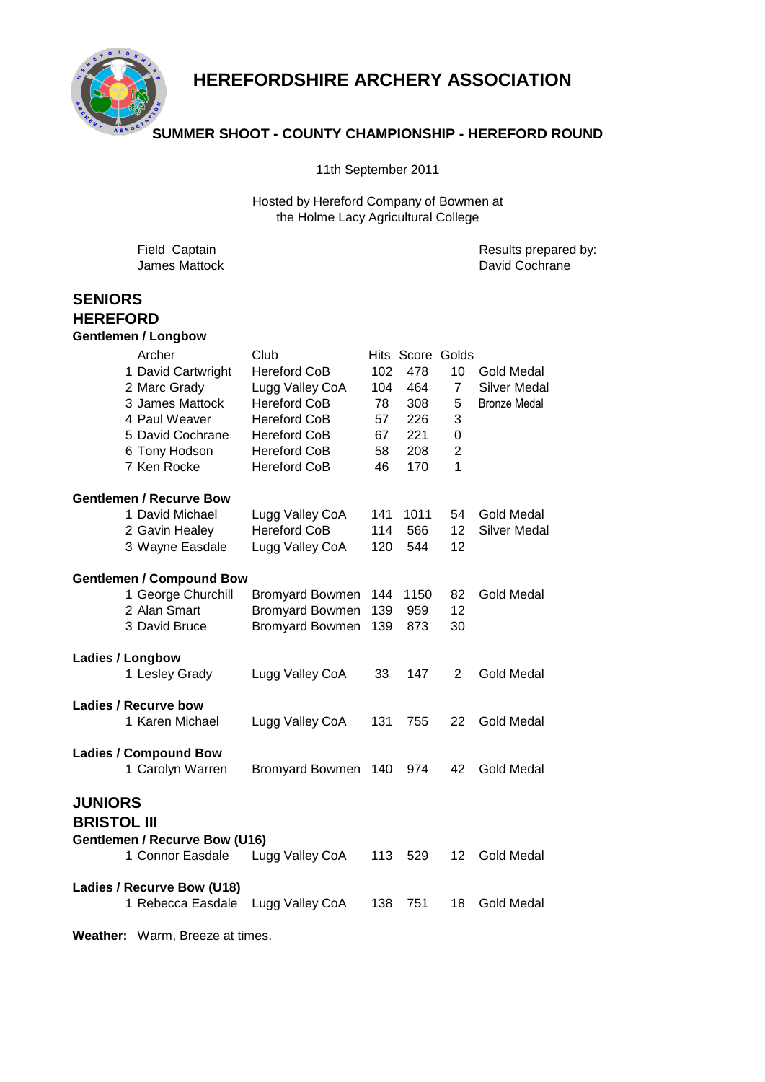

# **HEREFORDSHIRE ARCHERY ASSOCIATION**

## **SUMMER SHOOT - COUNTY CHAMPIONSHIP - HEREFORD ROUND**

11th September 2011

Hosted by Hereford Company of Bowmen at the Holme Lacy Agricultural College

Field Captain **Results** prepared by: James Mattock David Cochrane **SENIORS HEREFORD Gentlemen / Longbow** Archer Club Club Hits Score Golds 1 David Cartwright Hereford CoB 102 478 10 Gold Medal 2 Marc Grady Lugg Valley CoA 104 464 7 Silver Medal 3 James Mattock Hereford CoB 78 308 5 Bronze Medal 4 Paul Weaver Hereford CoB 57 226 3 5 David Cochrane Hereford CoB 67 221 0 6 Tony Hodson Hereford CoB 58 208 2 7 Ken Rocke Hereford CoB 46 170 1 **Gentlemen / Recurve Bow** 1 David Michael Lugg Valley CoA 141 1011 54 Gold Medal 2 Gavin Healey Hereford CoB 114 566 12 Silver Medal 3 Wayne Easdale Lugg Valley CoA 120 544 12 **Gentlemen / Compound Bow** 1 George Churchill Bromyard Bowmen 144 1150 82 Gold Medal 2 Alan Smart Bromyard Bowmen 139 959 12 3 David Bruce Bromyard Bowmen 139 873 30 **Ladies / Longbow** 1 Lesley Grady Lugg Valley CoA 33 147 2 Gold Medal **Ladies / Recurve bow** 1 Karen Michael Lugg Valley CoA 131 755 22 Gold Medal **Ladies / Compound Bow** 1 Carolyn Warren Bromyard Bowmen 140 974 42 Gold Medal **JUNIORS BRISTOL III Gentlemen / Recurve Bow (U16)** 1 Connor Easdale Lugg Valley CoA 113 529 12 Gold Medal **Ladies / Recurve Bow (U18)** 1 Rebecca Easdale Lugg Valley CoA 138 751 18 Gold Medal

**Weather:** Warm, Breeze at times.